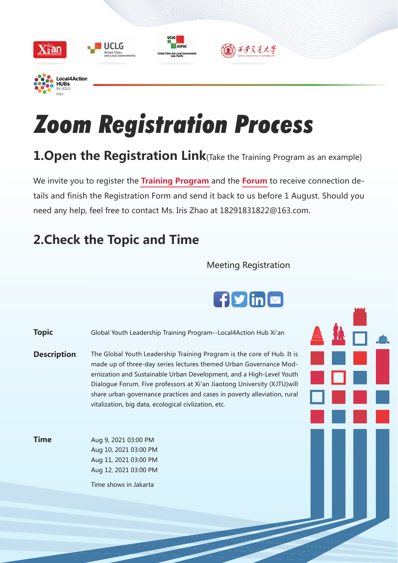

# Zoom Registration Process

UCLG

ASPAC

lities and Local G

# **1.Open the Registration Link**(Take the Training Program as an example)

We invite you to register the **Training Program** and the **Forum** to receive connection details and finish the Registration Form and send it back to us before 1 August. Should you need any help, feel free to contact Ms. Iris Zhao at 18291831822@163.com.

# **2.Check the Topic and Time**

#### Meeting Registration

) 石步交通大學

# $\int$  f  $\mathbf{y}$  in  $\mathbf{x}$

Aug 9, 2021 03:00 PM Aug 10, 2021 03:00 PM Aug 11, 2021 03:00 PM Aug 12, 2021 03:00 PM Time shows in Jakarta **Topic** Global Youth Leadership Training Program--Local4Action Hub Xi'an **Time Description** The Global Youth Leadership Training Program is the core of Hub. It is made up of three-day series lectures themed Urban Governance Modernization and Sustainable Urban Development, and a High-Level Youth Dialogue Forum. Five professors at Xi'an Jiaotong University (XJTU)will share urban governance practices and cases in poverty alleviation, rural vitalization, big data, ecological civlization, etc.